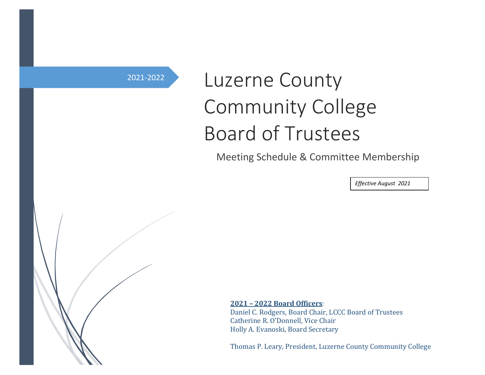# <sup>2021-2022</sup> Luzerne County Community College Board of Trustees

Meeting Schedule & Committee Membership

*Effective August 2021 202120220222022*

**2021 – 2022 Board Officers**:

Daniel C. Rodgers, Board Chair, LCCC Board of Trustees Catherine R. O'Donnell, Vice Chair Holly A. Evanoski, Board Secretary

Thomas P. Leary, President, Luzerne County Community College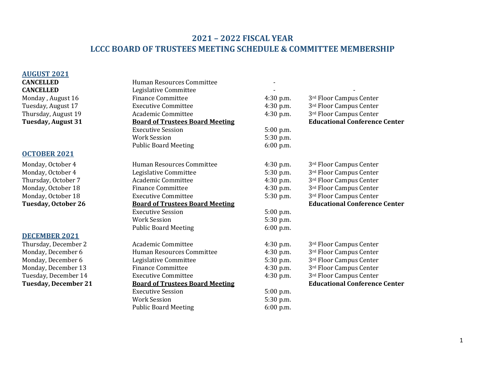## **2021 – 2022 FISCAL YEAR LCCC BOARD OF TRUSTEES MEETING SCHEDULE & COMMITTEE MEMBERSHIP**

#### **AUGUST 2021**

#### **OCTOBER 2021**

#### **DECEMBER 2021**

| <b>CANCELLED</b>            |                                        |             |                                      |
|-----------------------------|----------------------------------------|-------------|--------------------------------------|
|                             | Human Resources Committee              |             |                                      |
| <b>CANCELLED</b>            | Legislative Committee                  |             |                                      |
| Monday, August 16           | <b>Finance Committee</b>               | 4:30 p.m.   | 3rd Floor Campus Center              |
| Tuesday, August 17          | <b>Executive Committee</b>             | 4:30 p.m.   | 3rd Floor Campus Center              |
| Thursday, August 19         | Academic Committee                     | $4:30$ p.m. | 3rd Floor Campus Center              |
| <b>Tuesday, August 31</b>   | <b>Board of Trustees Board Meeting</b> |             | <b>Educational Conference Center</b> |
|                             | <b>Executive Session</b>               | 5:00 p.m.   |                                      |
|                             | <b>Work Session</b>                    | 5:30 p.m.   |                                      |
|                             | <b>Public Board Meeting</b>            | 6:00 p.m.   |                                      |
| <b>OCTOBER 2021</b>         |                                        |             |                                      |
| Monday, October 4           | Human Resources Committee              | $4:30$ p.m. | 3rd Floor Campus Center              |
| Monday, October 4           | Legislative Committee                  | 5:30 p.m.   | 3rd Floor Campus Center              |
| Thursday, October 7         | <b>Academic Committee</b>              | $4:30$ p.m. | 3rd Floor Campus Center              |
| Monday, October 18          | <b>Finance Committee</b>               | $4:30$ p.m. | 3rd Floor Campus Center              |
| Monday, October 18          | <b>Executive Committee</b>             | 5:30 p.m.   | 3rd Floor Campus Center              |
| <b>Tuesday, October 26</b>  | <b>Board of Trustees Board Meeting</b> |             | <b>Educational Conference Center</b> |
|                             | <b>Executive Session</b>               | 5:00 p.m.   |                                      |
|                             | <b>Work Session</b>                    | 5:30 p.m.   |                                      |
|                             | <b>Public Board Meeting</b>            | 6:00 p.m.   |                                      |
| <b>DECEMBER 2021</b>        |                                        |             |                                      |
| Thursday, December 2        | <b>Academic Committee</b>              | 4:30 p.m.   | 3rd Floor Campus Center              |
| Monday, December 6          | Human Resources Committee              | 4:30 p.m.   | 3rd Floor Campus Center              |
| Monday, December 6          | Legislative Committee                  | 5:30 p.m.   | 3rd Floor Campus Center              |
| Monday, December 13         | <b>Finance Committee</b>               | $4:30$ p.m. | 3rd Floor Campus Center              |
| Tuesday, December 14        | <b>Executive Committee</b>             | $4:30$ p.m. | 3rd Floor Campus Center              |
| <b>Tuesday, December 21</b> | <b>Board of Trustees Board Meeting</b> |             | <b>Educational Conference Center</b> |
|                             | <b>Executive Session</b>               | 5:00 p.m.   |                                      |
|                             | <b>Work Session</b>                    | 5:30 p.m.   |                                      |
|                             | <b>Public Board Meeting</b>            | $6:00$ p.m. |                                      |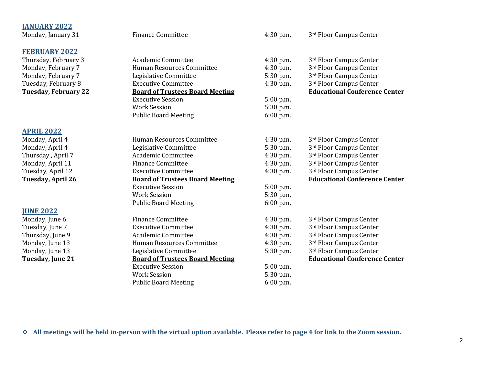### **JANUARY 2022** Monday, January 31 Finance Committee 4:30 p.m. 3rd Floor Campus Center **FEBRUARY 2022** Thursday, February 3 2008 Academic Committee 2008 4:30 p.m. 3rd Floor Campus Center Monday, February 7 **Human Resources Committee** 4:30 p.m. 3<sup>rd</sup> Floor Campus Center Monday, February 7 The Equilibrative Committee 5:30 p.m. 3rd Floor Campus Center Tuesday, February 8 **Executive Committee** 4:30 p.m. 3<sup>rd</sup> Floor Campus Center **Tuesday, February 22 Board of Trustees Board Meeting <b>Educational Conference Center Educational Conference Center** Executive Session 5:00 p.m. Work Session 5:30 p.m. Public Board Meeting 6:00 p.m. **APRIL 2022** Monday, April 4 Human Resources Committee 4:30 p.m. 3rd Floor Campus Center Monday, April 4 **Legislative Committee** 5:30 p.m. 3<sup>rd</sup> Floor Campus Center Thursday , April 7 **Academic Committee** 4:30 p.m. 3<sup>rd</sup> Floor Campus Center Monday, April 11 Finance Committee 4:30 p.m. 3<sup>rd</sup> Floor Campus Center Tuesday, April 12 **Executive Committee** 4:30 p.m. 3<sup>rd</sup> Floor Campus Center **Tuesday, April 26 Board of Trustees Board Meeting Educational Conference Center** Executive Session 5:00 p.m. Work Session 5:30 p.m. Public Board Meeting 6:00 p.m. **JUNE 2022** Monday, June 6 Finance Committee 4:30 p.m. 3<sup>rd</sup> Floor Campus Center Tuesday, June 7 **Executive Committee** 4:30 p.m. 3<sup>rd</sup> Floor Campus Center Thursday, June 9 **Academic Committee** 4:30 p.m. 3<sup>rd</sup> Floor Campus Center Monday, June 13 **Human Resources Committee** 4:30 p.m. 3<sup>rd</sup> Floor Campus Center Monday, June 13 **Legislative Committee** 5:30 p.m. 3<sup>rd</sup> Floor Campus Center **Tuesday, June 21 Board of Trustees Board Meeting Educational Conference Center** Executive Session 5:00 p.m. Work Session 5:30 p.m. Public Board Meeting 6:00 p.m.

❖ **All meetings will be held in-person with the virtual option available. Please refer to page 4 for link to the Zoom session.**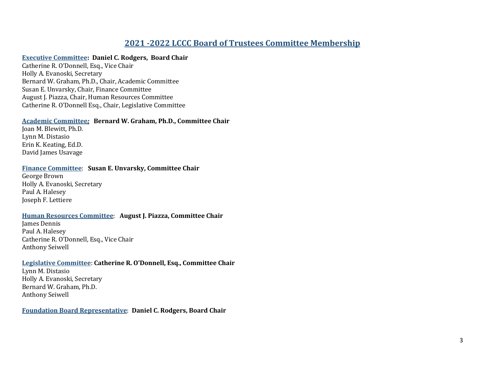## **2021 -2022 LCCC Board of Trustees Committee Membership**

#### **Executive Committee: Daniel C. Rodgers, Board Chair**

Catherine R. O'Donnell, Esq., Vice Chair Holly A. Evanoski, Secretary Bernard W. Graham, Ph.D., Chair, Academic Committee Susan E. Unvarsky, Chair, Finance Committee August J. Piazza, Chair, Human Resources Committee Catherine R. O'Donnell Esq., Chair, Legislative Committee

#### **Academic Committee***:* **Bernard W. Graham, Ph.D., Committee Chair**

Joan M. Blewitt, Ph.D. Lynn M. Distasio Erin K. Keating, Ed.D. David James Usavage

#### **Finance Committee**: **Susan E. Unvarsky, Committee Chair**

George Brown Holly A. Evanoski, Secretary Paul A. Halesey Joseph F. Lettiere

#### **Human Resources Committee**: **August J. Piazza, Committee Chair**

James Dennis Paul A. Halesey Catherine R. O'Donnell, Esq., Vice Chair Anthony Seiwell

#### **Legislative Committee**: **Catherine R. O'Donnell, Esq., Committee Chair**

Lynn M. Distasio Holly A. Evanoski, Secretary Bernard W. Graham, Ph.D. Anthony Seiwell

**Foundation Board Representative**: **Daniel C. Rodgers, Board Chair**